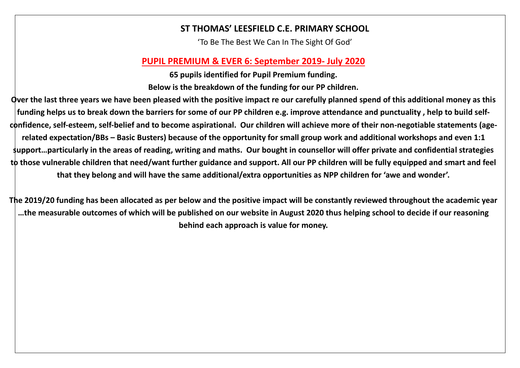## **ST THOMAS' LEESFIELD C.E. PRIMARY SCHOOL**

'To Be The Best We Can In The Sight Of God'

## **PUPIL PREMIUM & EVER 6: September 2019- July 2020**

**65 pupils identified for Pupil Premium funding. Below is the breakdown of the funding for our PP children.**

**Over the last three years we have been pleased with the positive impact re our carefully planned spend of this additional money as this funding helps us to break down the barriers for some of our PP children e.g. improve attendance and punctuality , help to build selfconfidence, self-esteem, self-belief and to become aspirational. Our children will achieve more of their non-negotiable statements (agerelated expectation/BBs – Basic Busters) because of the opportunity for small group work and additional workshops and even 1:1 support…particularly in the areas of reading, writing and maths. Our bought in counsellor will offer private and confidential strategies to those vulnerable children that need/want further guidance and support. All our PP children will be fully equipped and smart and feel that they belong and will have the same additional/extra opportunities as NPP children for 'awe and wonder'.**

**The 2019/20 funding has been allocated as per below and the positive impact will be constantly reviewed throughout the academic year …the measurable outcomes of which will be published on our website in August 2020 thus helping school to decide if our reasoning behind each approach is value for money.**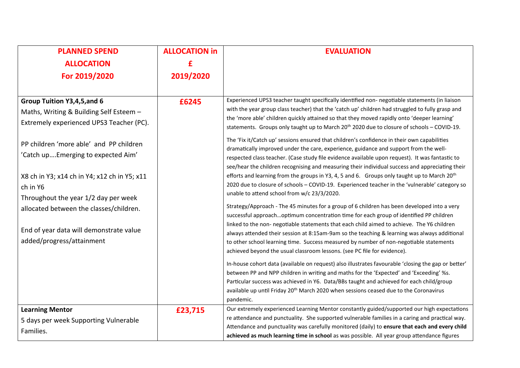| <b>PLANNED SPEND</b><br><b>ALLOCATION</b>                                                                          | <b>ALLOCATION in</b><br>£ | <b>EVALUATION</b>                                                                                                                                                                                                                                                                                                                                                                                            |
|--------------------------------------------------------------------------------------------------------------------|---------------------------|--------------------------------------------------------------------------------------------------------------------------------------------------------------------------------------------------------------------------------------------------------------------------------------------------------------------------------------------------------------------------------------------------------------|
| For 2019/2020                                                                                                      | 2019/2020                 |                                                                                                                                                                                                                                                                                                                                                                                                              |
| Group Tuition Y3,4,5, and 6<br>Maths, Writing & Building Self Esteem -<br>Extremely experienced UPS3 Teacher (PC). | £6245                     | Experienced UPS3 teacher taught specifically identified non- negotiable statements (in liaison<br>with the year group class teacher) that the 'catch up' children had struggled to fully grasp and<br>the 'more able' children quickly attained so that they moved rapidly onto 'deeper learning'<br>statements. Groups only taught up to March 20 <sup>th</sup> 2020 due to closure of schools - COVID-19.  |
| PP children 'more able' and PP children<br>'Catch upEmerging to expected Aim'                                      |                           | The 'Fix it/Catch up' sessions ensured that children's confidence in their own capabilities<br>dramatically improved under the care, experience, guidance and support from the well-<br>respected class teacher. (Case study file evidence available upon request). It was fantastic to<br>see/hear the children recognising and measuring their individual success and appreciating their                   |
| X8 ch in Y3; x14 ch in Y4; x12 ch in Y5; x11<br>ch in Y6<br>Throughout the year 1/2 day per week                   |                           | efforts and learning from the groups in Y3, 4, 5 and 6. Groups only taught up to March 20 <sup>th</sup><br>2020 due to closure of schools - COVID-19. Experienced teacher in the 'vulnerable' category so<br>unable to attend school from w/c 23/3/2020.                                                                                                                                                     |
| allocated between the classes/children.                                                                            |                           | Strategy/Approach - The 45 minutes for a group of 6 children has been developed into a very<br>successful approachoptimum concentration time for each group of identified PP children                                                                                                                                                                                                                        |
| End of year data will demonstrate value<br>added/progress/attainment                                               |                           | linked to the non- negotiable statements that each child aimed to achieve. The Y6 children<br>always attended their session at 8:15am-9am so the teaching & learning was always additional<br>to other school learning time. Success measured by number of non-negotiable statements<br>achieved beyond the usual classroom lessons. (see PC file for evidence).                                             |
|                                                                                                                    |                           | In-house cohort data (available on request) also illustrates favourable 'closing the gap or better'<br>between PP and NPP children in writing and maths for the 'Expected' and 'Exceeding' %s.<br>Particular success was achieved in Y6. Data/BBs taught and achieved for each child/group<br>available up until Friday 20 <sup>th</sup> March 2020 when sessions ceased due to the Coronavirus<br>pandemic. |
| <b>Learning Mentor</b><br>5 days per week Supporting Vulnerable<br>Families.                                       | £23,715                   | Our extremely experienced Learning Mentor constantly guided/supported our high expectations<br>re attendance and punctuality. She supported vulnerable families in a caring and practical way.<br>Attendance and punctuality was carefully monitored (daily) to ensure that each and every child<br>achieved as much learning time in school as was possible. All year group attendance figures              |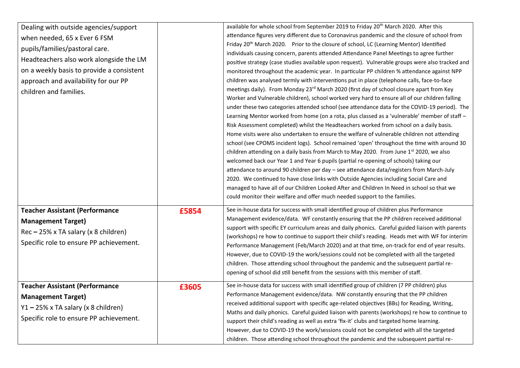| Dealing with outside agencies/support<br>when needed, 65 x Ever 6 FSM<br>pupils/families/pastoral care.<br>Headteachers also work alongside the LM<br>on a weekly basis to provide a consistent<br>approach and availability for our PP<br>children and families. |       | available for whole school from September 2019 to Friday 20 <sup>th</sup> March 2020. After this<br>attendance figures very different due to Coronavirus pandemic and the closure of school from<br>Friday 20 <sup>th</sup> March 2020. Prior to the closure of school, LC (Learning Mentor) Identified<br>individuals causing concern, parents attended Attendance Panel Meetings to agree further<br>positive strategy (case studies available upon request). Vulnerable groups were also tracked and<br>monitored throughout the academic year. In particular PP children % attendance against NPP<br>children was analysed termly with interventions put in place (telephone calls, face-to-face<br>meetings daily). From Monday 23 <sup>rd</sup> March 2020 (first day of school closure apart from Key<br>Worker and Vulnerable children), school worked very hard to ensure all of our children falling<br>under these two categories attended school (see attendance data for the COVID-19 period). The<br>Learning Mentor worked from home (on a rota, plus classed as a 'vulnerable' member of staff -<br>Risk Assessment completed) whilst the Headteachers worked from school on a daily basis.<br>Home visits were also undertaken to ensure the welfare of vulnerable children not attending<br>school (see CPOMS incident logs). School remained 'open' throughout the time with around 30<br>children attending on a daily basis from March to May 2020. From June 1st 2020, we also |
|-------------------------------------------------------------------------------------------------------------------------------------------------------------------------------------------------------------------------------------------------------------------|-------|------------------------------------------------------------------------------------------------------------------------------------------------------------------------------------------------------------------------------------------------------------------------------------------------------------------------------------------------------------------------------------------------------------------------------------------------------------------------------------------------------------------------------------------------------------------------------------------------------------------------------------------------------------------------------------------------------------------------------------------------------------------------------------------------------------------------------------------------------------------------------------------------------------------------------------------------------------------------------------------------------------------------------------------------------------------------------------------------------------------------------------------------------------------------------------------------------------------------------------------------------------------------------------------------------------------------------------------------------------------------------------------------------------------------------------------------------------------------------------------------------|
|                                                                                                                                                                                                                                                                   |       | welcomed back our Year 1 and Year 6 pupils (partial re-opening of schools) taking our<br>attendance to around 90 children per day - see attendance data/registers from March-July<br>2020. We continued to have close links with Outside Agencies including Social Care and<br>managed to have all of our Children Looked After and Children In Need in school so that we<br>could monitor their welfare and offer much needed support to the families.                                                                                                                                                                                                                                                                                                                                                                                                                                                                                                                                                                                                                                                                                                                                                                                                                                                                                                                                                                                                                                              |
| <b>Teacher Assistant (Performance</b><br><b>Management Target)</b><br>Rec - 25% x TA salary (x 8 children)<br>Specific role to ensure PP achievement.                                                                                                             | £5854 | See in-house data for success with small identified group of children plus Performance<br>Management evidence/data. WF constantly ensuring that the PP children received additional<br>support with specific EY curriculum areas and daily phonics. Careful guided liaison with parents<br>(workshops) re how to continue to support their child's reading. Heads met with WF for interim<br>Performance Management (Feb/March 2020) and at that time, on-track for end of year results.<br>However, due to COVID-19 the work/sessions could not be completed with all the targeted<br>children. Those attending school throughout the pandemic and the subsequent partial re-<br>opening of school did still benefit from the sessions with this member of staff.                                                                                                                                                                                                                                                                                                                                                                                                                                                                                                                                                                                                                                                                                                                                   |
| <b>Teacher Assistant (Performance</b><br><b>Management Target)</b><br>$Y1 - 25\%$ x TA salary (x 8 children)<br>Specific role to ensure PP achievement.                                                                                                           | £3605 | See in-house data for success with small identified group of children (7 PP children) plus<br>Performance Management evidence/data. NW constantly ensuring that the PP children<br>received additional support with specific age-related objectives (BBs) for Reading, Writing,<br>Maths and daily phonics. Careful guided liaison with parents (workshops) re how to continue to<br>support their child's reading as well as extra 'fix-it' clubs and targeted home learning.<br>However, due to COVID-19 the work/sessions could not be completed with all the targeted<br>children. Those attending school throughout the pandemic and the subsequent partial re-                                                                                                                                                                                                                                                                                                                                                                                                                                                                                                                                                                                                                                                                                                                                                                                                                                 |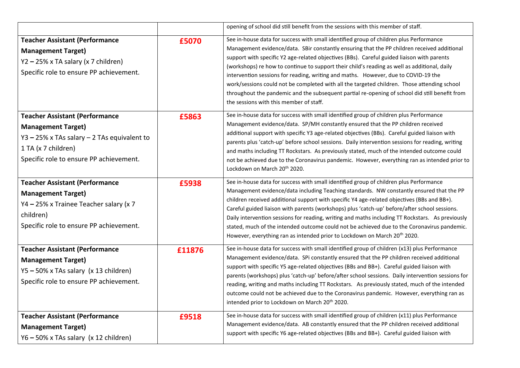|                                                                                                                                                                                          |        | opening of school did still benefit from the sessions with this member of staff.                                                                                                                                                                                                                                                                                                                                                                                                                                                                                                                                                                                                                                      |
|------------------------------------------------------------------------------------------------------------------------------------------------------------------------------------------|--------|-----------------------------------------------------------------------------------------------------------------------------------------------------------------------------------------------------------------------------------------------------------------------------------------------------------------------------------------------------------------------------------------------------------------------------------------------------------------------------------------------------------------------------------------------------------------------------------------------------------------------------------------------------------------------------------------------------------------------|
| <b>Teacher Assistant (Performance</b><br><b>Management Target)</b><br>Y2-25% x TA salary (x 7 children)<br>Specific role to ensure PP achievement.                                       | £5070  | See in-house data for success with small identified group of children plus Performance<br>Management evidence/data. SBir constantly ensuring that the PP children received additional<br>support with specific Y2 age-related objectives (BBs). Careful guided liaison with parents<br>(workshops) re how to continue to support their child's reading as well as additional, daily<br>intervention sessions for reading, writing and maths. However, due to COVID-19 the<br>work/sessions could not be completed with all the targeted children. Those attending school<br>throughout the pandemic and the subsequent partial re-opening of school did still benefit from<br>the sessions with this member of staff. |
| <b>Teacher Assistant (Performance</b><br><b>Management Target)</b><br>$Y3 - 25\%$ x TAs salary $- 2$ TAs equivalent to<br>1 TA (x 7 children)<br>Specific role to ensure PP achievement. | £5863  | See in-house data for success with small identified group of children plus Performance<br>Management evidence/data. SP/MH constantly ensured that the PP children received<br>additional support with specific Y3 age-related objectives (BBs). Careful guided liaison with<br>parents plus 'catch-up' before school sessions. Daily intervention sessions for reading, writing<br>and maths including TT Rockstars. As previously stated, much of the intended outcome could<br>not be achieved due to the Coronavirus pandemic. However, everything ran as intended prior to<br>Lockdown on March 20 <sup>th</sup> 2020.                                                                                            |
| <b>Teacher Assistant (Performance</b><br><b>Management Target)</b><br>Y4 - 25% x Trainee Teacher salary (x 7<br>children)<br>Specific role to ensure PP achievement.                     | £5938  | See in-house data for success with small identified group of children plus Performance<br>Management evidence/data including Teaching standards. NW constantly ensured that the PP<br>children received additional support with specific Y4 age-related objectives (BBs and BB+).<br>Careful guided liaison with parents (workshops) plus 'catch-up' before/after school sessions.<br>Daily intervention sessions for reading, writing and maths including TT Rockstars. As previously<br>stated, much of the intended outcome could not be achieved due to the Coronavirus pandemic.<br>However, everything ran as intended prior to Lockdown on March 20 <sup>th</sup> 2020.                                        |
| <b>Teacher Assistant (Performance</b><br><b>Management Target)</b><br>$Y5 - 50\%$ x TAs salary (x 13 children)<br>Specific role to ensure PP achievement.                                | £11876 | See in-house data for success with small identified group of children (x13) plus Performance<br>Management evidence/data. SPi constantly ensured that the PP children received additional<br>support with specific Y5 age-related objectives (BBs and BB+). Careful guided liaison with<br>parents (workshops) plus 'catch-up' before/after school sessions. Daily intervention sessions for<br>reading, writing and maths including TT Rockstars. As previously stated, much of the intended<br>outcome could not be achieved due to the Coronavirus pandemic. However, everything ran as<br>intended prior to Lockdown on March 20 <sup>th</sup> 2020.                                                              |
| <b>Teacher Assistant (Performance</b><br><b>Management Target)</b><br>Y6 - 50% x TAs salary (x 12 children)                                                                              | £9518  | See in-house data for success with small identified group of children (x11) plus Performance<br>Management evidence/data. AB constantly ensured that the PP children received additional<br>support with specific Y6 age-related objectives (BBs and BB+). Careful guided liaison with                                                                                                                                                                                                                                                                                                                                                                                                                                |